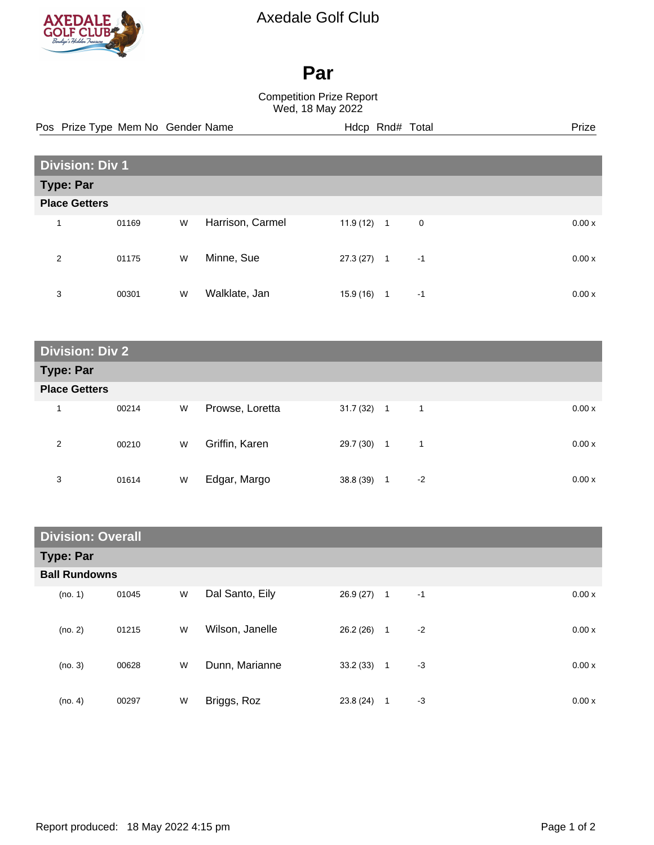

## Axedale Golf Club

## **Par**

## Competition Prize Report Wed, 18 May 2022

|                      |                                            | Pos Prize Type Mem No Gender Name |   |                  |              | Hdcp Rnd# Total |             | Prize |
|----------------------|--------------------------------------------|-----------------------------------|---|------------------|--------------|-----------------|-------------|-------|
|                      |                                            |                                   |   |                  |              |                 |             |       |
|                      | <b>Division: Div 1</b><br><b>Type: Par</b> |                                   |   |                  |              |                 |             |       |
| <b>Place Getters</b> |                                            |                                   |   |                  |              |                 |             |       |
| 1                    |                                            | 01169                             | W | Harrison, Carmel | $11.9(12)$ 1 |                 | $\mathbf 0$ | 0.00x |
| 2                    |                                            | 01175                             | W | Minne, Sue       | 27.3(27)     | $\overline{1}$  | $-1$        | 0.00x |
| 3                    |                                            | 00301                             | W | Walklate, Jan    | 15.9 (16)    | $\overline{1}$  | $-1$        | 0.00x |

| <b>Division: Div 2</b> |       |   |                 |              |              |      |       |
|------------------------|-------|---|-----------------|--------------|--------------|------|-------|
| <b>Type: Par</b>       |       |   |                 |              |              |      |       |
| <b>Place Getters</b>   |       |   |                 |              |              |      |       |
| 1                      | 00214 | W | Prowse, Loretta | $31.7(32)$ 1 |              | 1    | 0.00x |
| 2                      | 00210 | W | Griffin, Karen  | 29.7 (30)    | $\mathbf{1}$ | 1    | 0.00x |
| 3                      | 01614 | W | Edgar, Margo    | 38.8 (39)    | 1            | $-2$ | 0.00x |

| <b>Division: Overall</b> |       |   |                 |          |                |      |       |
|--------------------------|-------|---|-----------------|----------|----------------|------|-------|
| <b>Type: Par</b>         |       |   |                 |          |                |      |       |
| <b>Ball Rundowns</b>     |       |   |                 |          |                |      |       |
| (no. 1)                  | 01045 | W | Dal Santo, Eily | 26.9(27) | $\mathbf{1}$   | $-1$ | 0.00x |
| (no. 2)                  | 01215 | W | Wilson, Janelle | 26.2(26) | $\overline{1}$ | $-2$ | 0.00x |
| (no. 3)                  | 00628 | W | Dunn, Marianne  | 33.2(33) | $\overline{1}$ | $-3$ | 0.00x |
| (no. 4)                  | 00297 | W | Briggs, Roz     | 23.8(24) | 1              | -3   | 0.00x |